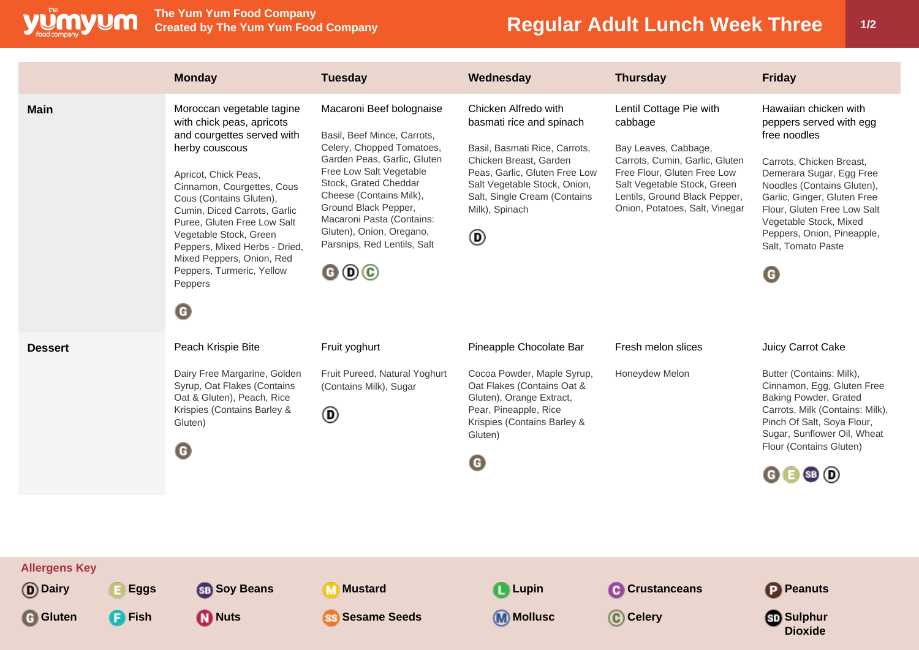

## **Regular Adult Lunch Week Three 1/2**

|                                                      |                              | <b>Monday</b>                                                                                                                                                                                                                                                                                                                                                                               | <b>Tuesday</b>                                                                                                                                                                                                                                                                                                                                                          | Wednesday                                                                                                                                                                                                                           | <b>Thursday</b>                                                                                                                                                                                                               | <b>Friday</b>                                                                                                                                                                                                                                                                                           |
|------------------------------------------------------|------------------------------|---------------------------------------------------------------------------------------------------------------------------------------------------------------------------------------------------------------------------------------------------------------------------------------------------------------------------------------------------------------------------------------------|-------------------------------------------------------------------------------------------------------------------------------------------------------------------------------------------------------------------------------------------------------------------------------------------------------------------------------------------------------------------------|-------------------------------------------------------------------------------------------------------------------------------------------------------------------------------------------------------------------------------------|-------------------------------------------------------------------------------------------------------------------------------------------------------------------------------------------------------------------------------|---------------------------------------------------------------------------------------------------------------------------------------------------------------------------------------------------------------------------------------------------------------------------------------------------------|
| <b>Main</b>                                          |                              | Moroccan vegetable tagine<br>with chick peas, apricots<br>and courgettes served with<br>herby couscous<br>Apricot, Chick Peas,<br>Cinnamon, Courgettes, Cous<br>Cous (Contains Gluten),<br>Cumin, Diced Carrots, Garlic<br>Puree, Gluten Free Low Salt<br>Vegetable Stock, Green<br>Peppers, Mixed Herbs - Dried,<br>Mixed Peppers, Onion, Red<br>Peppers, Turmeric, Yellow<br>Peppers<br>◉ | Macaroni Beef bolognaise<br>Basil, Beef Mince, Carrots,<br>Celery, Chopped Tomatoes,<br>Garden Peas, Garlic, Gluten<br>Free Low Salt Vegetable<br>Stock, Grated Cheddar<br>Cheese (Contains Milk),<br>Ground Black Pepper,<br>Macaroni Pasta (Contains:<br>Gluten), Onion, Oregano,<br>Parsnips, Red Lentils, Salt<br>$\mathbf{\Theta} \mathbf{\Theta} \mathbf{\Theta}$ | Chicken Alfredo with<br>basmati rice and spinach<br>Basil, Basmati Rice, Carrots,<br>Chicken Breast, Garden<br>Peas, Garlic, Gluten Free Low<br>Salt Vegetable Stock, Onion,<br>Salt, Single Cream (Contains<br>Milk), Spinach<br>◉ | Lentil Cottage Pie with<br>cabbage<br>Bay Leaves, Cabbage,<br>Carrots, Cumin, Garlic, Gluten<br>Free Flour, Gluten Free Low<br>Salt Vegetable Stock, Green<br>Lentils, Ground Black Pepper,<br>Onion, Potatoes, Salt, Vinegar | Hawaiian chicken with<br>peppers served with egg<br>free noodles<br>Carrots, Chicken Breast,<br>Demerara Sugar, Egg Free<br>Noodles (Contains Gluten),<br>Garlic, Ginger, Gluten Free<br>Flour, Gluten Free Low Salt<br>Vegetable Stock, Mixed<br>Peppers, Onion, Pineapple,<br>Salt, Tomato Paste<br>G |
| <b>Dessert</b>                                       |                              | Peach Krispie Bite<br>Dairy Free Margarine, Golden<br>Syrup, Oat Flakes (Contains<br>Oat & Gluten), Peach, Rice<br>Krispies (Contains Barley &<br>Gluten)<br>◉                                                                                                                                                                                                                              | Fruit yoghurt<br>Fruit Pureed, Natural Yoghurt<br>(Contains Milk), Sugar<br>◉                                                                                                                                                                                                                                                                                           | Pineapple Chocolate Bar<br>Cocoa Powder, Maple Syrup,<br>Oat Flakes (Contains Oat &<br>Gluten), Orange Extract,<br>Pear, Pineapple, Rice<br>Krispies (Contains Barley &<br>Gluten)<br>$\mathbf G$                                   | Fresh melon slices<br>Honeydew Melon                                                                                                                                                                                          | Juicy Carrot Cake<br>Butter (Contains: Milk),<br>Cinnamon, Egg, Gluten Free<br>Baking Powder, Grated<br>Carrots, Milk (Contains: Milk),<br>Pinch Of Salt, Soya Flour,<br>Sugar, Sunflower Oil, Wheat<br>Flour (Contains Gluten)<br>$\mathbf{G} \mathbf{B} \mathbf{S} \mathbf{D}$                        |
| <b>Allergens Key</b><br>(D) Dairy<br><b>G</b> Gluten | <b>Eggs</b><br><b>P</b> Fish | <b>SB</b> Soy Beans<br><b>M</b> Nuts                                                                                                                                                                                                                                                                                                                                                        | <b>M</b> Mustard<br><b>SS Sesame Seeds</b>                                                                                                                                                                                                                                                                                                                              | <b>Q</b> Lupin<br>(M) Mollusc                                                                                                                                                                                                       | <b>C</b> Crustanceans<br>C Celery                                                                                                                                                                                             | <b>P</b> Peanuts<br><b>Sulphur</b><br><b>Dioxide</b>                                                                                                                                                                                                                                                    |